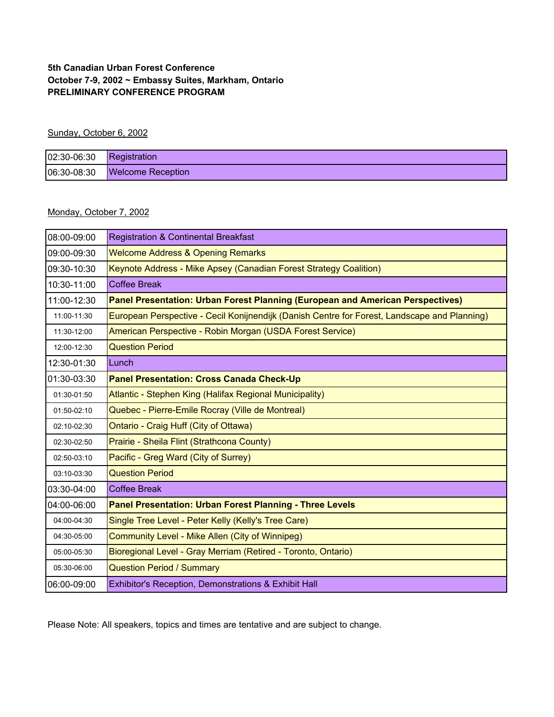## **5th Canadian Urban Forest Conference October 7-9, 2002 ~ Embassy Suites, Markham, Ontario PRELIMINARY CONFERENCE PROGRAM**

## Sunday, October 6, 2002

| $02:30-06:30$ Registration |                               |
|----------------------------|-------------------------------|
|                            | 06:30-08:30 Welcome Reception |

## Monday, October 7, 2002

| 08:00-09:00 | <b>Registration &amp; Continental Breakfast</b>                                              |  |  |  |  |
|-------------|----------------------------------------------------------------------------------------------|--|--|--|--|
| 09:00-09:30 | <b>Welcome Address &amp; Opening Remarks</b>                                                 |  |  |  |  |
| 09:30-10:30 | Keynote Address - Mike Apsey (Canadian Forest Strategy Coalition)                            |  |  |  |  |
| 10:30-11:00 | <b>Coffee Break</b>                                                                          |  |  |  |  |
| 11:00-12:30 | Panel Presentation: Urban Forest Planning (European and American Perspectives)               |  |  |  |  |
| 11:00-11:30 | European Perspective - Cecil Konijnendijk (Danish Centre for Forest, Landscape and Planning) |  |  |  |  |
| 11:30-12:00 | American Perspective - Robin Morgan (USDA Forest Service)                                    |  |  |  |  |
| 12:00-12:30 | <b>Question Period</b>                                                                       |  |  |  |  |
| 12:30-01:30 | Lunch                                                                                        |  |  |  |  |
| 01:30-03:30 | <b>Panel Presentation: Cross Canada Check-Up</b>                                             |  |  |  |  |
| 01:30-01:50 | Atlantic - Stephen King (Halifax Regional Municipality)                                      |  |  |  |  |
| 01:50-02:10 | Quebec - Pierre-Emile Rocray (Ville de Montreal)                                             |  |  |  |  |
| 02:10-02:30 | Ontario - Craig Huff (City of Ottawa)                                                        |  |  |  |  |
| 02:30-02:50 | Prairie - Sheila Flint (Strathcona County)                                                   |  |  |  |  |
| 02:50-03:10 | Pacific - Greg Ward (City of Surrey)                                                         |  |  |  |  |
| 03:10-03:30 | <b>Question Period</b>                                                                       |  |  |  |  |
| 03:30-04:00 | <b>Coffee Break</b>                                                                          |  |  |  |  |
| 04:00-06:00 | <b>Panel Presentation: Urban Forest Planning - Three Levels</b>                              |  |  |  |  |
| 04:00-04:30 | Single Tree Level - Peter Kelly (Kelly's Tree Care)                                          |  |  |  |  |
| 04:30-05:00 | Community Level - Mike Allen (City of Winnipeg)                                              |  |  |  |  |
| 05:00-05:30 | Bioregional Level - Gray Merriam (Retired - Toronto, Ontario)                                |  |  |  |  |
| 05:30-06:00 | <b>Question Period / Summary</b>                                                             |  |  |  |  |
| 06:00-09:00 | Exhibitor's Reception, Demonstrations & Exhibit Hall                                         |  |  |  |  |

Please Note: All speakers, topics and times are tentative and are subject to change.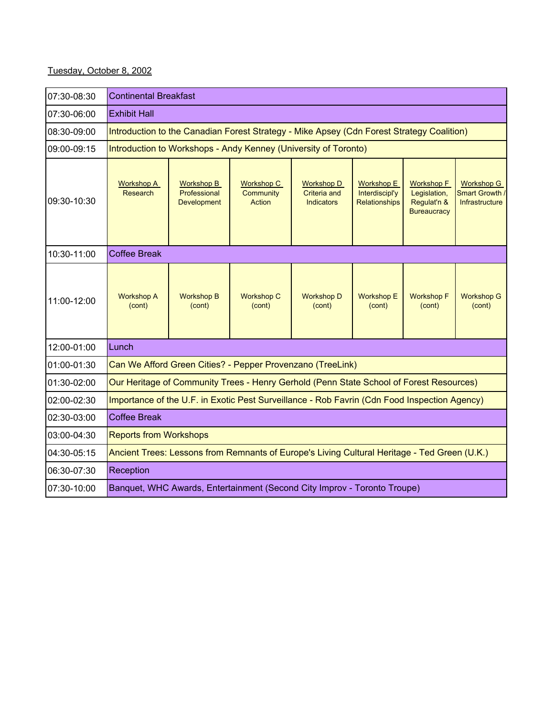## Tuesday, October 8, 2002

| 07:30-08:30 | <b>Continental Breakfast</b>                                                                 |                                                                                              |                                                 |                                                        |                                                      |                                                                        |                                                              |
|-------------|----------------------------------------------------------------------------------------------|----------------------------------------------------------------------------------------------|-------------------------------------------------|--------------------------------------------------------|------------------------------------------------------|------------------------------------------------------------------------|--------------------------------------------------------------|
| 07:30-06:00 | <b>Exhibit Hall</b>                                                                          |                                                                                              |                                                 |                                                        |                                                      |                                                                        |                                                              |
| 08:30-09:00 | Introduction to the Canadian Forest Strategy - Mike Apsey (Cdn Forest Strategy Coalition)    |                                                                                              |                                                 |                                                        |                                                      |                                                                        |                                                              |
| 09:00-09:15 | Introduction to Workshops - Andy Kenney (University of Toronto)                              |                                                                                              |                                                 |                                                        |                                                      |                                                                        |                                                              |
| 09:30-10:30 | <b>Workshop A</b><br>Research                                                                | <b>Workshop B</b><br>Professional<br><b>Development</b>                                      | <b>Workshop C</b><br>Community<br><b>Action</b> | <b>Workshop D</b><br>Criteria and<br><b>Indicators</b> | <b>Workshop E</b><br>Interdiscipl'y<br>Relationships | <b>Workshop F</b><br>Legislation,<br>Regulat'n &<br><b>Bureaucracy</b> | <b>Workshop G</b><br>Smart Growth /<br><b>Infrastructure</b> |
| 10:30-11:00 | <b>Coffee Break</b>                                                                          |                                                                                              |                                                 |                                                        |                                                      |                                                                        |                                                              |
| 11:00-12:00 | <b>Workshop A</b><br>(cont)                                                                  | <b>Workshop B</b><br>(cont)                                                                  | <b>Workshop C</b><br>(cont)                     | <b>Workshop D</b><br>(cont)                            | <b>Workshop E</b><br>(cont)                          | <b>Workshop F</b><br>(cont)                                            | <b>Workshop G</b><br>(cont)                                  |
| 12:00-01:00 | Lunch                                                                                        |                                                                                              |                                                 |                                                        |                                                      |                                                                        |                                                              |
| 01:00-01:30 |                                                                                              | Can We Afford Green Cities? - Pepper Provenzano (TreeLink)                                   |                                                 |                                                        |                                                      |                                                                        |                                                              |
| 01:30-02:00 |                                                                                              | Our Heritage of Community Trees - Henry Gerhold (Penn State School of Forest Resources)      |                                                 |                                                        |                                                      |                                                                        |                                                              |
| 02:00-02:30 |                                                                                              | Importance of the U.F. in Exotic Pest Surveillance - Rob Favrin (Cdn Food Inspection Agency) |                                                 |                                                        |                                                      |                                                                        |                                                              |
| 02:30-03:00 | <b>Coffee Break</b>                                                                          |                                                                                              |                                                 |                                                        |                                                      |                                                                        |                                                              |
| 03:00-04:30 | <b>Reports from Workshops</b>                                                                |                                                                                              |                                                 |                                                        |                                                      |                                                                        |                                                              |
| 04:30-05:15 | Ancient Trees: Lessons from Remnants of Europe's Living Cultural Heritage - Ted Green (U.K.) |                                                                                              |                                                 |                                                        |                                                      |                                                                        |                                                              |
| 06:30-07:30 | Reception                                                                                    |                                                                                              |                                                 |                                                        |                                                      |                                                                        |                                                              |
| 07:30-10:00 | Banquet, WHC Awards, Entertainment (Second City Improv - Toronto Troupe)                     |                                                                                              |                                                 |                                                        |                                                      |                                                                        |                                                              |